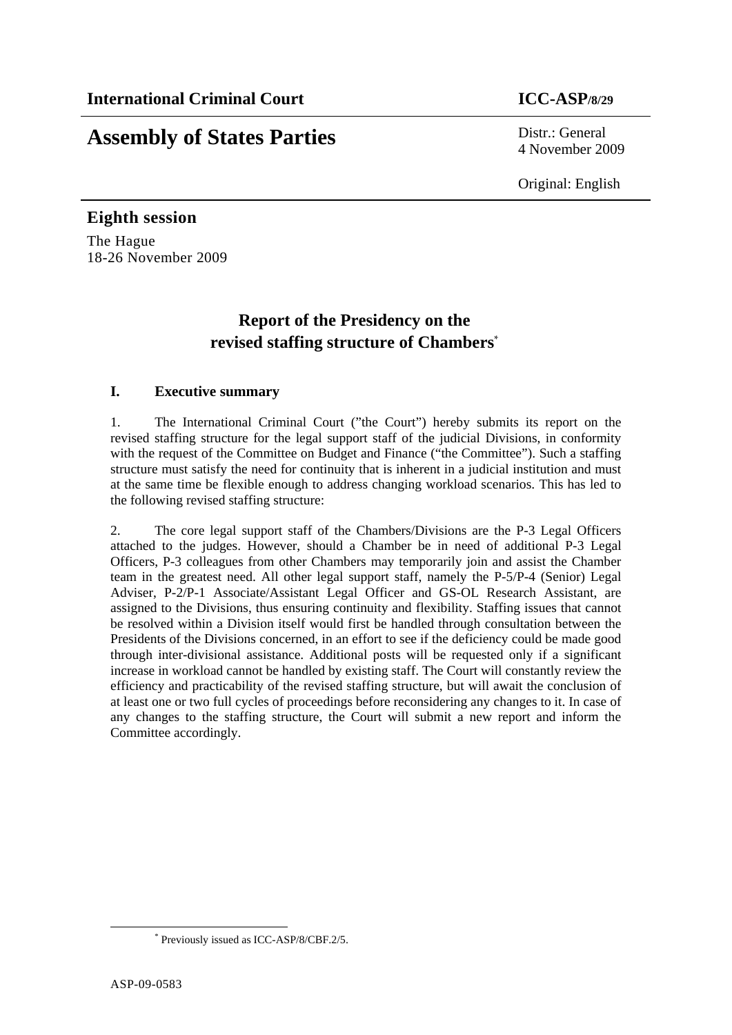# **Assembly of States Parties** Distr.: General

4 November 2009

Original: English

## **Eighth session**  The Hague 18-26 November 2009

## **Report of the Presidency on the revised staffing structure of Chambers**\*

## **I. Executive summary**

1. The International Criminal Court ("the Court") hereby submits its report on the revised staffing structure for the legal support staff of the judicial Divisions, in conformity with the request of the Committee on Budget and Finance ("the Committee"). Such a staffing structure must satisfy the need for continuity that is inherent in a judicial institution and must at the same time be flexible enough to address changing workload scenarios. This has led to the following revised staffing structure:

2. The core legal support staff of the Chambers/Divisions are the P-3 Legal Officers attached to the judges. However, should a Chamber be in need of additional P-3 Legal Officers, P-3 colleagues from other Chambers may temporarily join and assist the Chamber team in the greatest need. All other legal support staff, namely the P-5/P-4 (Senior) Legal Adviser, P-2/P-1 Associate/Assistant Legal Officer and GS-OL Research Assistant, are assigned to the Divisions, thus ensuring continuity and flexibility. Staffing issues that cannot be resolved within a Division itself would first be handled through consultation between the Presidents of the Divisions concerned, in an effort to see if the deficiency could be made good through inter-divisional assistance. Additional posts will be requested only if a significant increase in workload cannot be handled by existing staff. The Court will constantly review the efficiency and practicability of the revised staffing structure, but will await the conclusion of at least one or two full cycles of proceedings before reconsidering any changes to it. In case of any changes to the staffing structure, the Court will submit a new report and inform the Committee accordingly.

 \* Previously issued as ICC-ASP/8/CBF.2/5.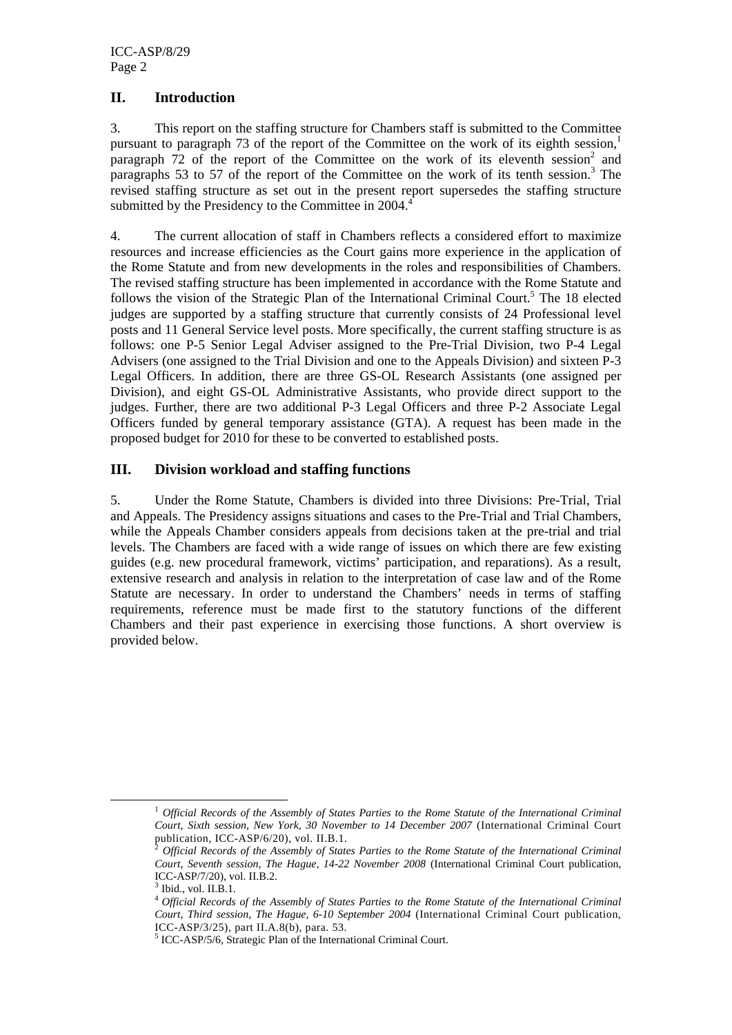## **II. Introduction**

3. This report on the staffing structure for Chambers staff is submitted to the Committee pursuant to paragraph 73 of the report of the Committee on the work of its eighth session,<sup>1</sup> paragraph  $72$  of the report of the Committee on the work of its eleventh session<sup>2</sup> and paragraphs 53 to 57 of the report of the Committee on the work of its tenth session.<sup>3</sup> The revised staffing structure as set out in the present report supersedes the staffing structure submitted by the Presidency to the Committee in  $2004<sup>4</sup>$ 

4. The current allocation of staff in Chambers reflects a considered effort to maximize resources and increase efficiencies as the Court gains more experience in the application of the Rome Statute and from new developments in the roles and responsibilities of Chambers. The revised staffing structure has been implemented in accordance with the Rome Statute and follows the vision of the Strategic Plan of the International Criminal Court.<sup>5</sup> The 18 elected judges are supported by a staffing structure that currently consists of 24 Professional level posts and 11 General Service level posts. More specifically, the current staffing structure is as follows: one P-5 Senior Legal Adviser assigned to the Pre-Trial Division, two P-4 Legal Advisers (one assigned to the Trial Division and one to the Appeals Division) and sixteen P-3 Legal Officers. In addition, there are three GS-OL Research Assistants (one assigned per Division), and eight GS-OL Administrative Assistants, who provide direct support to the judges. Further, there are two additional P-3 Legal Officers and three P-2 Associate Legal Officers funded by general temporary assistance (GTA). A request has been made in the proposed budget for 2010 for these to be converted to established posts.

#### **III. Division workload and staffing functions**

5. Under the Rome Statute, Chambers is divided into three Divisions: Pre-Trial, Trial and Appeals. The Presidency assigns situations and cases to the Pre-Trial and Trial Chambers, while the Appeals Chamber considers appeals from decisions taken at the pre-trial and trial levels. The Chambers are faced with a wide range of issues on which there are few existing guides (e.g. new procedural framework, victims' participation, and reparations). As a result, extensive research and analysis in relation to the interpretation of case law and of the Rome Statute are necessary. In order to understand the Chambers' needs in terms of staffing requirements, reference must be made first to the statutory functions of the different Chambers and their past experience in exercising those functions. A short overview is provided below.

 <sup>1</sup> *Official Records of the Assembly of States Parties to the Rome Statute of the International Criminal Court, Sixth session, New York, 30 November to 14 December 2007* (International Criminal Court publication, ICC-ASP/6/20), vol. II.B.1.

<sup>2</sup> *Official Records of the Assembly of States Parties to the Rome Statute of the International Criminal Court, Seventh session, The Hague, 14-22 November 2008* (International Criminal Court publication, ICC-ASP/7/20), vol. II.B.2.

<sup>3</sup> Ibid., vol. II.B.1.

<sup>4</sup>*Official Records of the Assembly of States Parties to the Rome Statute of the International Criminal Court, Third session, The Hague, 6-10 September 2004* (International Criminal Court publication, ICC-ASP/3/25), part II.A.8(b), para. 53.

<sup>5</sup> ICC-ASP/5/6, Strategic Plan of the International Criminal Court.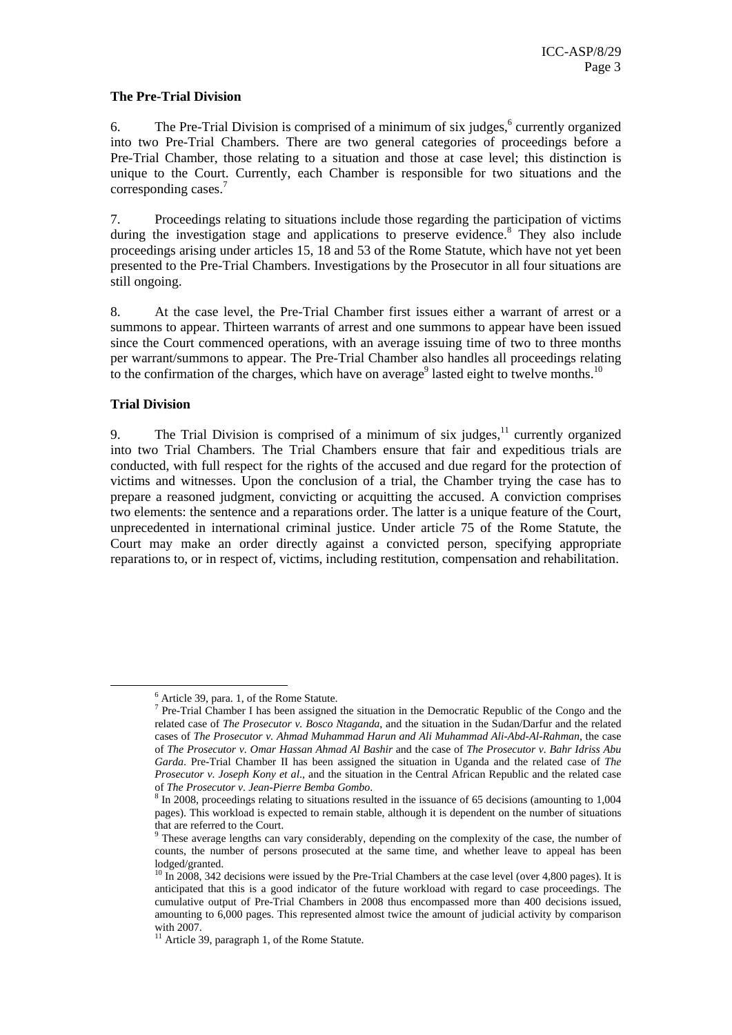#### **The Pre-Trial Division**

6. The Pre-Trial Division is comprised of a minimum of six judges, $6$  currently organized into two Pre-Trial Chambers. There are two general categories of proceedings before a Pre-Trial Chamber, those relating to a situation and those at case level; this distinction is unique to the Court. Currently, each Chamber is responsible for two situations and the corresponding cases.<sup>7</sup>

7. Proceedings relating to situations include those regarding the participation of victims during the investigation stage and applications to preserve evidence.<sup>8</sup> They also include proceedings arising under articles 15, 18 and 53 of the Rome Statute, which have not yet been presented to the Pre-Trial Chambers. Investigations by the Prosecutor in all four situations are still ongoing.

8. At the case level, the Pre-Trial Chamber first issues either a warrant of arrest or a summons to appear. Thirteen warrants of arrest and one summons to appear have been issued since the Court commenced operations, with an average issuing time of two to three months per warrant/summons to appear. The Pre-Trial Chamber also handles all proceedings relating to the confirmation of the charges, which have on average<sup>9</sup> lasted eight to twelve months.<sup>10</sup>

#### **Trial Division**

9. The Trial Division is comprised of a minimum of six judges, $1/1$  currently organized into two Trial Chambers. The Trial Chambers ensure that fair and expeditious trials are conducted, with full respect for the rights of the accused and due regard for the protection of victims and witnesses. Upon the conclusion of a trial, the Chamber trying the case has to prepare a reasoned judgment, convicting or acquitting the accused. A conviction comprises two elements: the sentence and a reparations order. The latter is a unique feature of the Court, unprecedented in international criminal justice. Under article 75 of the Rome Statute, the Court may make an order directly against a convicted person, specifying appropriate reparations to, or in respect of, victims, including restitution, compensation and rehabilitation.

 $\frac{6 \text{ A trial}}{20 \text{ narg } 1 \text{ of the Po}}$  $^6$  Article 39, para. 1, of the Rome Statute.<br> $^7$  Pro Trial Chamber I has been assigned.

 $\frac{1}{2}$  Pre-Trial Chamber I has been assigned the situation in the Democratic Republic of the Congo and the related case of *The Prosecutor v. Bosco Ntaganda*, and the situation in the Sudan/Darfur and the related cases of *The Prosecutor v. Ahmad Muhammad Harun and Ali Muhammad Ali-Abd-Al-Rahman*, the case of *The Prosecutor v. Omar Hassan Ahmad Al Bashir* and the case of *The Prosecutor v. Bahr Idriss Abu Garda*. Pre-Trial Chamber II has been assigned the situation in Uganda and the related case of *The Prosecutor v. Joseph Kony et al*., and the situation in the Central African Republic and the related case of *The Prosecutor v. Jean-Pierre Bemba Gombo.* 

<sup>&</sup>lt;sup>8</sup> In 2008, proceedings relating to situations resulted in the issuance of 65 decisions (amounting to 1,004 pages). This workload is expected to remain stable, although it is dependent on the number of situations that are referred to the Court.

<sup>&</sup>lt;sup>9</sup> These average lengths can vary considerably, depending on the complexity of the case, the number of counts, the number of persons prosecuted at the same time, and whether leave to appeal has been lodged/granted.

 $10 \text{ In } 2008$ , 342 decisions were issued by the Pre-Trial Chambers at the case level (over 4,800 pages). It is anticipated that this is a good indicator of the future workload with regard to case proceedings. The cumulative output of Pre-Trial Chambers in 2008 thus encompassed more than 400 decisions issued, amounting to 6,000 pages. This represented almost twice the amount of judicial activity by comparison with 2007.

<sup>&</sup>lt;sup>11</sup> Article 39, paragraph 1, of the Rome Statute.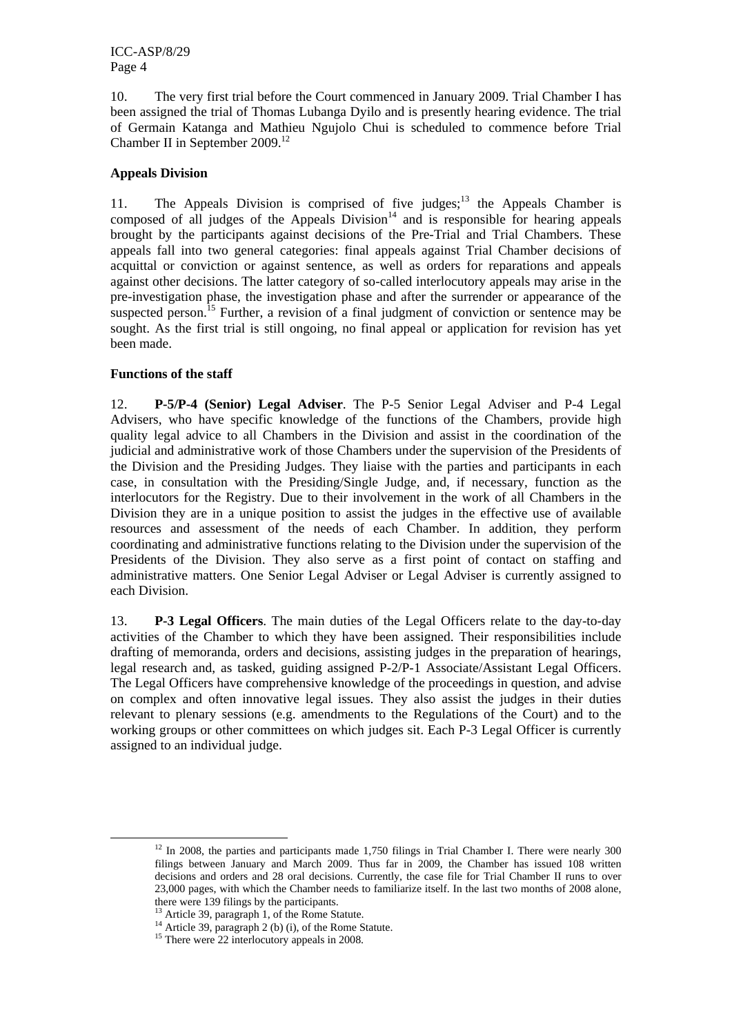10. The very first trial before the Court commenced in January 2009. Trial Chamber I has been assigned the trial of Thomas Lubanga Dyilo and is presently hearing evidence. The trial of Germain Katanga and Mathieu Ngujolo Chui is scheduled to commence before Trial Chamber II in September 2009.12

## **Appeals Division**

11. The Appeals Division is comprised of five judges; $13$  the Appeals Chamber is composed of all judges of the Appeals  $Division<sup>14</sup>$  and is responsible for hearing appeals brought by the participants against decisions of the Pre-Trial and Trial Chambers. These appeals fall into two general categories: final appeals against Trial Chamber decisions of acquittal or conviction or against sentence, as well as orders for reparations and appeals against other decisions. The latter category of so-called interlocutory appeals may arise in the pre-investigation phase, the investigation phase and after the surrender or appearance of the suspected person.<sup>15</sup> Further, a revision of a final judgment of conviction or sentence may be sought. As the first trial is still ongoing, no final appeal or application for revision has yet been made.

#### **Functions of the staff**

12. **P-5/P-4 (Senior) Legal Adviser**. The P-5 Senior Legal Adviser and P-4 Legal Advisers, who have specific knowledge of the functions of the Chambers, provide high quality legal advice to all Chambers in the Division and assist in the coordination of the judicial and administrative work of those Chambers under the supervision of the Presidents of the Division and the Presiding Judges. They liaise with the parties and participants in each case, in consultation with the Presiding/Single Judge, and, if necessary, function as the interlocutors for the Registry. Due to their involvement in the work of all Chambers in the Division they are in a unique position to assist the judges in the effective use of available resources and assessment of the needs of each Chamber. In addition, they perform coordinating and administrative functions relating to the Division under the supervision of the Presidents of the Division. They also serve as a first point of contact on staffing and administrative matters. One Senior Legal Adviser or Legal Adviser is currently assigned to each Division.

13. **P-3 Legal Officers**. The main duties of the Legal Officers relate to the day-to-day activities of the Chamber to which they have been assigned. Their responsibilities include drafting of memoranda, orders and decisions, assisting judges in the preparation of hearings, legal research and, as tasked, guiding assigned P-2/P-1 Associate/Assistant Legal Officers. The Legal Officers have comprehensive knowledge of the proceedings in question, and advise on complex and often innovative legal issues. They also assist the judges in their duties relevant to plenary sessions (e.g. amendments to the Regulations of the Court) and to the working groups or other committees on which judges sit. Each P-3 Legal Officer is currently assigned to an individual judge.

 $12$  In 2008, the parties and participants made 1,750 filings in Trial Chamber I. There were nearly 300 filings between January and March 2009. Thus far in 2009, the Chamber has issued 108 written decisions and orders and 28 oral decisions. Currently, the case file for Trial Chamber II runs to over 23,000 pages, with which the Chamber needs to familiarize itself. In the last two months of 2008 alone, there were 139 filings by the participants.

<sup>&</sup>lt;sup>13</sup> Article 39, paragraph 1, of the Rome Statute.<br><sup>14</sup> Article 39, paragraph 2 (b) (i), of the Rome Statute.<br><sup>15</sup> There were 22 interlocutory appeals in 2008.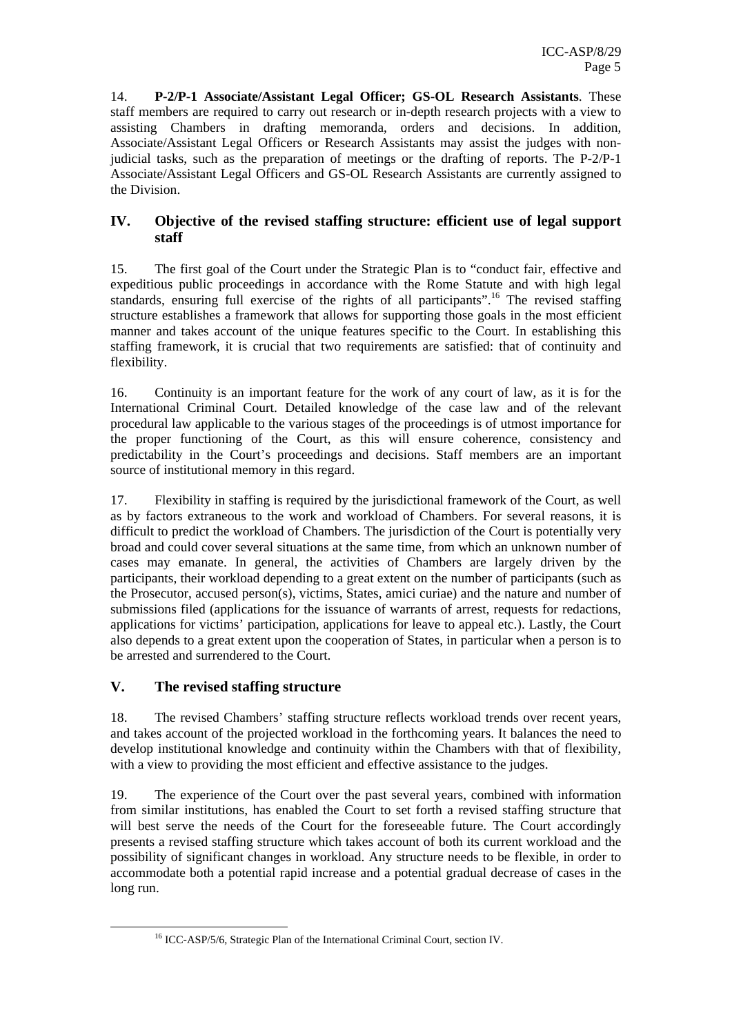14. **P-2/P-1 Associate/Assistant Legal Officer; GS-OL Research Assistants**. These staff members are required to carry out research or in-depth research projects with a view to assisting Chambers in drafting memoranda, orders and decisions. In addition, Associate/Assistant Legal Officers or Research Assistants may assist the judges with nonjudicial tasks, such as the preparation of meetings or the drafting of reports. The P-2/P-1 Associate/Assistant Legal Officers and GS-OL Research Assistants are currently assigned to the Division.

## **IV. Objective of the revised staffing structure: efficient use of legal support staff**

15. The first goal of the Court under the Strategic Plan is to "conduct fair, effective and expeditious public proceedings in accordance with the Rome Statute and with high legal standards, ensuring full exercise of the rights of all participants".<sup>16</sup> The revised staffing structure establishes a framework that allows for supporting those goals in the most efficient manner and takes account of the unique features specific to the Court. In establishing this staffing framework, it is crucial that two requirements are satisfied: that of continuity and flexibility.

16. Continuity is an important feature for the work of any court of law, as it is for the International Criminal Court. Detailed knowledge of the case law and of the relevant procedural law applicable to the various stages of the proceedings is of utmost importance for the proper functioning of the Court, as this will ensure coherence, consistency and predictability in the Court's proceedings and decisions. Staff members are an important source of institutional memory in this regard.

17. Flexibility in staffing is required by the jurisdictional framework of the Court, as well as by factors extraneous to the work and workload of Chambers. For several reasons, it is difficult to predict the workload of Chambers. The jurisdiction of the Court is potentially very broad and could cover several situations at the same time, from which an unknown number of cases may emanate. In general, the activities of Chambers are largely driven by the participants, their workload depending to a great extent on the number of participants (such as the Prosecutor, accused person(s), victims, States, amici curiae) and the nature and number of submissions filed (applications for the issuance of warrants of arrest, requests for redactions, applications for victims' participation, applications for leave to appeal etc.). Lastly, the Court also depends to a great extent upon the cooperation of States, in particular when a person is to be arrested and surrendered to the Court.

## **V. The revised staffing structure**

18. The revised Chambers' staffing structure reflects workload trends over recent years, and takes account of the projected workload in the forthcoming years. It balances the need to develop institutional knowledge and continuity within the Chambers with that of flexibility, with a view to providing the most efficient and effective assistance to the judges.

19. The experience of the Court over the past several years, combined with information from similar institutions, has enabled the Court to set forth a revised staffing structure that will best serve the needs of the Court for the foreseeable future. The Court accordingly presents a revised staffing structure which takes account of both its current workload and the possibility of significant changes in workload. Any structure needs to be flexible, in order to accommodate both a potential rapid increase and a potential gradual decrease of cases in the long run.

<sup>&</sup>lt;sup>16</sup> ICC-ASP/5/6, Strategic Plan of the International Criminal Court, section IV.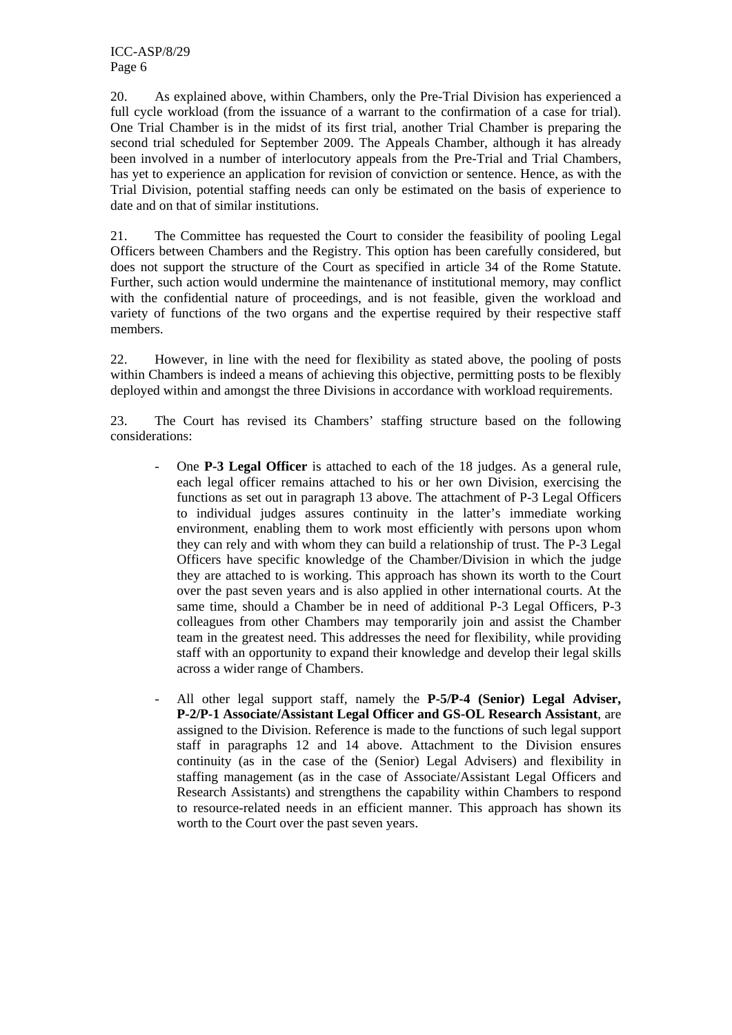20. As explained above, within Chambers, only the Pre-Trial Division has experienced a full cycle workload (from the issuance of a warrant to the confirmation of a case for trial). One Trial Chamber is in the midst of its first trial, another Trial Chamber is preparing the second trial scheduled for September 2009. The Appeals Chamber, although it has already been involved in a number of interlocutory appeals from the Pre-Trial and Trial Chambers, has yet to experience an application for revision of conviction or sentence. Hence, as with the Trial Division, potential staffing needs can only be estimated on the basis of experience to date and on that of similar institutions.

21. The Committee has requested the Court to consider the feasibility of pooling Legal Officers between Chambers and the Registry. This option has been carefully considered, but does not support the structure of the Court as specified in article 34 of the Rome Statute. Further, such action would undermine the maintenance of institutional memory, may conflict with the confidential nature of proceedings, and is not feasible, given the workload and variety of functions of the two organs and the expertise required by their respective staff members.

22. However, in line with the need for flexibility as stated above, the pooling of posts within Chambers is indeed a means of achieving this objective, permitting posts to be flexibly deployed within and amongst the three Divisions in accordance with workload requirements.

23. The Court has revised its Chambers' staffing structure based on the following considerations:

- One **P-3 Legal Officer** is attached to each of the 18 judges. As a general rule, each legal officer remains attached to his or her own Division, exercising the functions as set out in paragraph 13 above. The attachment of P-3 Legal Officers to individual judges assures continuity in the latter's immediate working environment, enabling them to work most efficiently with persons upon whom they can rely and with whom they can build a relationship of trust. The P-3 Legal Officers have specific knowledge of the Chamber/Division in which the judge they are attached to is working. This approach has shown its worth to the Court over the past seven years and is also applied in other international courts. At the same time, should a Chamber be in need of additional P-3 Legal Officers, P-3 colleagues from other Chambers may temporarily join and assist the Chamber team in the greatest need. This addresses the need for flexibility, while providing staff with an opportunity to expand their knowledge and develop their legal skills across a wider range of Chambers.
- All other legal support staff, namely the **P-5/P-4 (Senior) Legal Adviser, P-2/P-1 Associate/Assistant Legal Officer and GS-OL Research Assistant**, are assigned to the Division. Reference is made to the functions of such legal support staff in paragraphs 12 and 14 above. Attachment to the Division ensures continuity (as in the case of the (Senior) Legal Advisers) and flexibility in staffing management (as in the case of Associate/Assistant Legal Officers and Research Assistants) and strengthens the capability within Chambers to respond to resource-related needs in an efficient manner. This approach has shown its worth to the Court over the past seven years.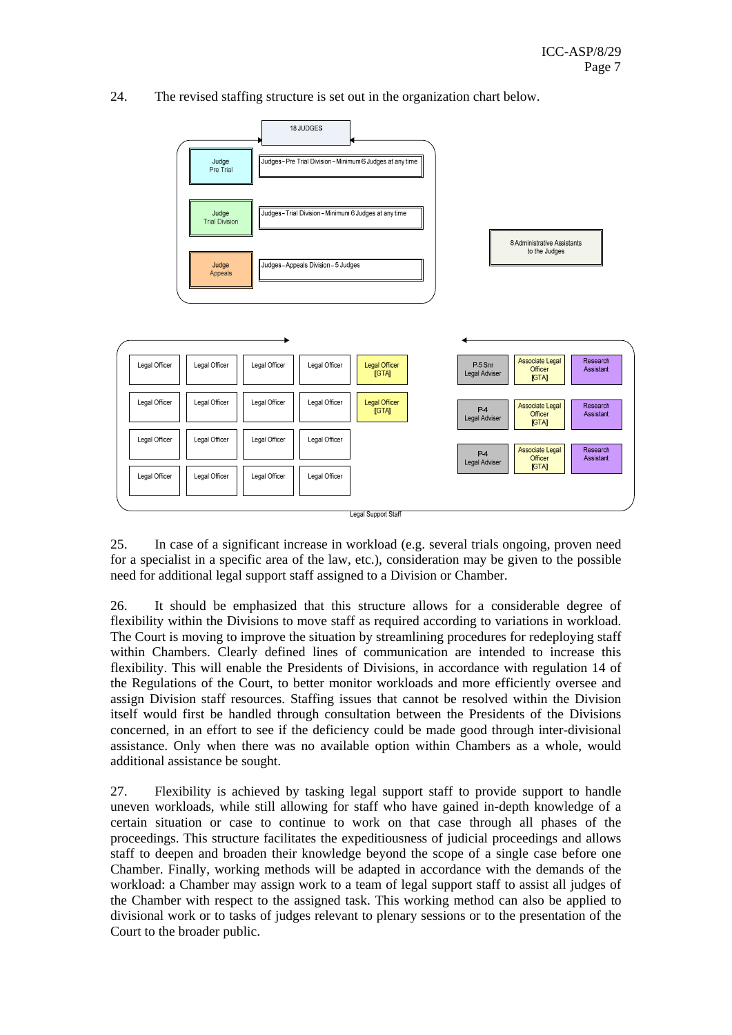24. The revised staffing structure is set out in the organization chart below.



25. In case of a significant increase in workload (e.g. several trials ongoing, proven need for a specialist in a specific area of the law, etc.), consideration may be given to the possible need for additional legal support staff assigned to a Division or Chamber.

26. It should be emphasized that this structure allows for a considerable degree of flexibility within the Divisions to move staff as required according to variations in workload. The Court is moving to improve the situation by streamlining procedures for redeploying staff within Chambers. Clearly defined lines of communication are intended to increase this flexibility. This will enable the Presidents of Divisions, in accordance with regulation 14 of the Regulations of the Court, to better monitor workloads and more efficiently oversee and assign Division staff resources. Staffing issues that cannot be resolved within the Division itself would first be handled through consultation between the Presidents of the Divisions concerned, in an effort to see if the deficiency could be made good through inter-divisional assistance. Only when there was no available option within Chambers as a whole, would additional assistance be sought.

27. Flexibility is achieved by tasking legal support staff to provide support to handle uneven workloads, while still allowing for staff who have gained in-depth knowledge of a certain situation or case to continue to work on that case through all phases of the proceedings. This structure facilitates the expeditiousness of judicial proceedings and allows staff to deepen and broaden their knowledge beyond the scope of a single case before one Chamber. Finally, working methods will be adapted in accordance with the demands of the workload: a Chamber may assign work to a team of legal support staff to assist all judges of the Chamber with respect to the assigned task. This working method can also be applied to divisional work or to tasks of judges relevant to plenary sessions or to the presentation of the Court to the broader public.